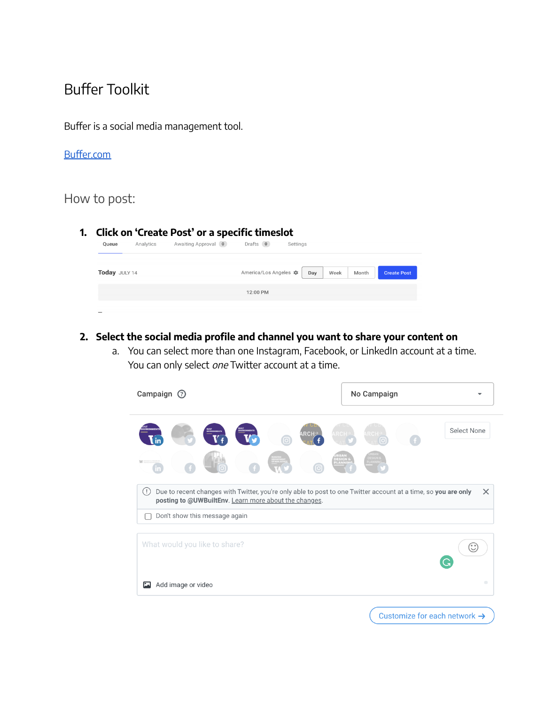# Buffer Toolkit

Buffer is a social media management tool.

#### [Buffer.com](https://buffer.com/)

# How to post:

#### **1. Click on 'Create Post' or a specific timeslot**

| Queue         | Analytics | Awaiting Approval (0) | Drafts 0              | Settings |      |       |                    |
|---------------|-----------|-----------------------|-----------------------|----------|------|-------|--------------------|
| Today JULY 14 |           |                       | America/Los Angeles * | Day      | Week | Month | <b>Create Post</b> |
|               |           |                       | 12:00 PM              |          |      |       |                    |
|               |           |                       |                       |          |      |       |                    |

#### **2. Select the social media profile and channel you want to share your content on**

a. You can select more than one Instagram, Facebook, or LinkedIn account at a time. You can only select one Twitter account at a time.

| Campaign 2                      |                    |                               |                                                       |       |  | No Campaign |                                                                                                                            |
|---------------------------------|--------------------|-------------------------------|-------------------------------------------------------|-------|--|-------------|----------------------------------------------------------------------------------------------------------------------------|
| (In                             |                    |                               |                                                       | ARCH≳ |  |             | Select None                                                                                                                |
| $\left( \left  \right  \right)$ |                    | Don't show this message again | posting to @UWBuiltEnv. Learn more about the changes. |       |  |             | Due to recent changes with Twitter, you're only able to post to one Twitter account at a time, so you are only<br>$\times$ |
|                                 |                    | What would you like to share? |                                                       |       |  |             | $\odot$                                                                                                                    |
| <b>EA</b>                       | Add image or video |                               |                                                       |       |  |             | o                                                                                                                          |
|                                 |                    |                               |                                                       |       |  |             | Customize for each network $\rightarrow$                                                                                   |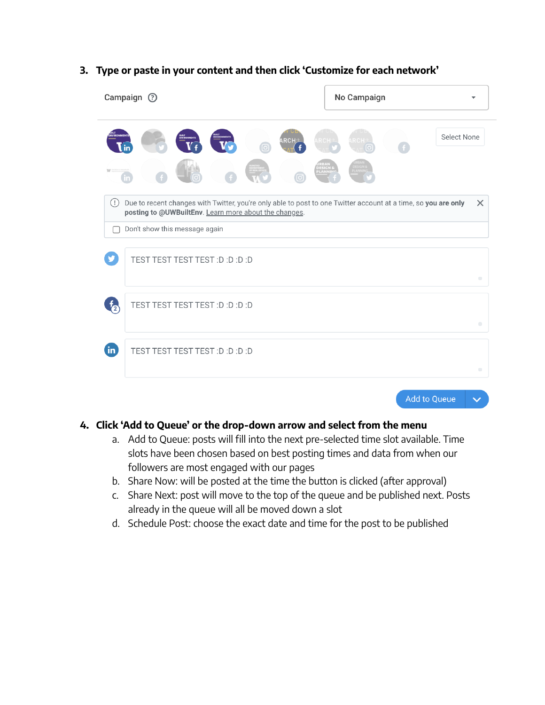#### **3. Type or paste in your content and then click 'Customize for each network'**

| Campaign <sup>7</sup>                                                                                                                                                                                                                       | No Campaign                           |
|---------------------------------------------------------------------------------------------------------------------------------------------------------------------------------------------------------------------------------------------|---------------------------------------|
| <b>ARCH</b>                                                                                                                                                                                                                                 | Select None                           |
| $\left( \left  \right  \right)$<br>Due to recent changes with Twitter, you're only able to post to one Twitter account at a time, so you are only<br>posting to @UWBuiltEnv. Learn more about the changes.<br>Don't show this message again | $\times$                              |
| TEST TEST TEST TEST :D :D :D :D                                                                                                                                                                                                             | $\begin{array}{c} \hline \end{array}$ |
| TEST TEST TEST TEST :D :D :D :D<br>$\sqrt{2}$                                                                                                                                                                                               | $\qquad \qquad \bullet$               |
| $\mathbf{in}$<br>TEST TEST TEST TEST :D :D :D :D                                                                                                                                                                                            | $\qquad \qquad \blacksquare$          |

#### **4. Click 'Add to Queue' or the drop-down arrow and select from the menu**

a. Add to Queue: posts will fill into the next pre-selected time slot available. Time slots have been chosen based on best posting times and data from when our followers are most engaged with our pages

Add to Queue

 $\checkmark$ 

- b. Share Now: will be posted at the time the button is clicked (after approval)
- c. Share Next: post will move to the top of the queue and be published next. Posts already in the queue will all be moved down a slot
- d. Schedule Post: choose the exact date and time for the post to be published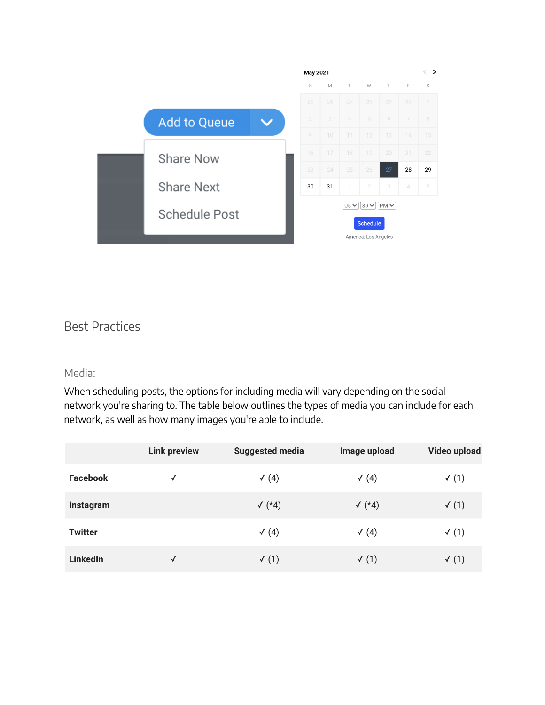|                     |  | May 2021       |    |                                                             |                      | $\left\langle \right\rangle$<br>ゝ |    |                  |  |
|---------------------|--|----------------|----|-------------------------------------------------------------|----------------------|-----------------------------------|----|------------------|--|
|                     |  | S              | M  | T.                                                          | W                    | T                                 | F  | S                |  |
|                     |  | 25             | 26 | 27                                                          | 28                   | 29                                | 30 | $\left  \right $ |  |
| <b>Add to Queue</b> |  | $\overline{2}$ | 3  | $\angle$                                                    | 5                    | 6                                 | 7  | 8                |  |
|                     |  | 9              | 10 | 11                                                          | 12                   | 13                                | 14 | 15               |  |
| <b>Share Now</b>    |  | 16             | 17 | 18                                                          | 19                   | 20                                | 21 | 22               |  |
|                     |  | 23             | 24 | 25                                                          | 26                   | 27                                | 28 | 29               |  |
| <b>Share Next</b>   |  | 30             | 31 | $\overline{\phantom{a}}$                                    | $\overline{2}$       | 3                                 | 4  | 5                |  |
| Schedule Post       |  |                |    | $05 \times$<br>$ 39 \vee $<br>$ PM \vee$<br><b>Schedule</b> |                      |                                   |    |                  |  |
|                     |  |                |    |                                                             | America: Los Angeles |                                   |    |                  |  |

# Best Practices

#### Media:

When scheduling posts, the options for including media will vary depending on the social network you're sharing to. The table below outlines the types of media you can include for each network, as well as how many images you're able to include.

|                 | <b>Link preview</b> | <b>Suggested media</b> | Image upload     | Video upload     |
|-----------------|---------------------|------------------------|------------------|------------------|
| <b>Facebook</b> | √                   | $\sqrt(4)$             | $\checkmark$ (4) | $\checkmark$ (1) |
| Instagram       |                     | $\sqrt{*4}$            | $\sqrt{*4}$      | $\checkmark$ (1) |
| <b>Twitter</b>  |                     | $\sqrt(4)$             | $\checkmark$ (4) | $\checkmark$ (1) |
| LinkedIn        | √                   | $\checkmark$ (1)       | $\checkmark$ (1) | $\checkmark$ (1) |